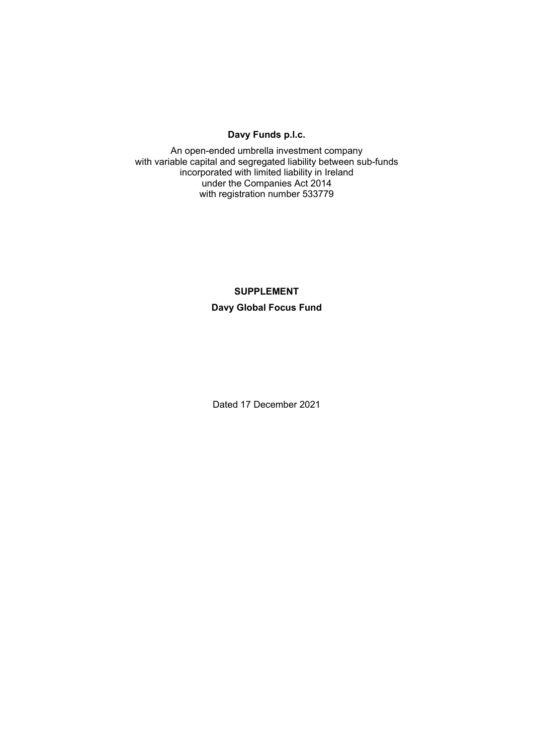# **Davy Funds p.l.c.**

An open-ended umbrella investment company with variable capital and segregated liability between sub-funds incorporated with limited liability in Ireland under the Companies Act 2014 with registration number 533779

> **SUPPLEMENT Davy Global Focus Fund**

Dated 17 December 2021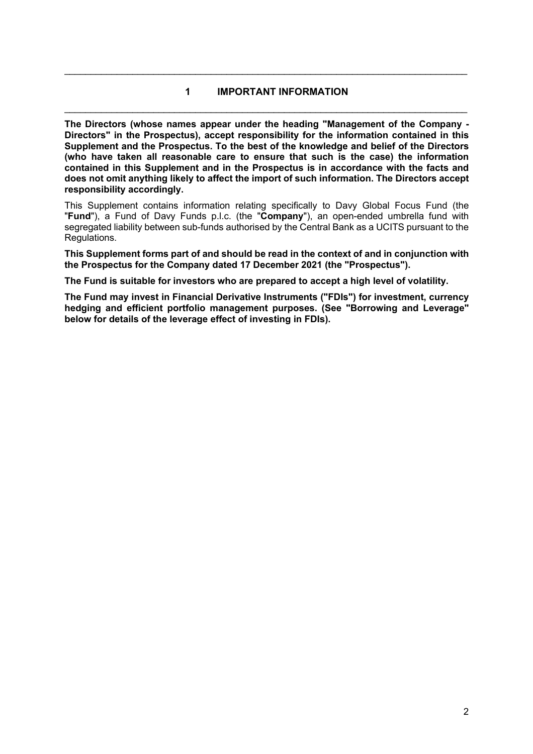# **1 IMPORTANT INFORMATION**  \_\_\_\_\_\_\_\_\_\_\_\_\_\_\_\_\_\_\_\_\_\_\_\_\_\_\_\_\_\_\_\_\_\_\_\_\_\_\_\_\_\_\_\_\_\_\_\_\_\_\_\_\_\_\_\_\_\_\_\_\_\_\_\_\_\_\_\_\_\_\_\_\_\_\_\_\_

\_\_\_\_\_\_\_\_\_\_\_\_\_\_\_\_\_\_\_\_\_\_\_\_\_\_\_\_\_\_\_\_\_\_\_\_\_\_\_\_\_\_\_\_\_\_\_\_\_\_\_\_\_\_\_\_\_\_\_\_\_\_\_\_\_\_\_\_\_\_\_\_\_\_\_\_\_

**The Directors (whose names appear under the heading "Management of the Company - Directors" in the Prospectus), accept responsibility for the information contained in this Supplement and the Prospectus. To the best of the knowledge and belief of the Directors (who have taken all reasonable care to ensure that such is the case) the information contained in this Supplement and in the Prospectus is in accordance with the facts and does not omit anything likely to affect the import of such information. The Directors accept responsibility accordingly.** 

This Supplement contains information relating specifically to Davy Global Focus Fund (the "Fund"), a Fund of Davy Funds p.l.c. (the "Company"), an open-ended umbrella fund with segregated liability between sub-funds authorised by the Central Bank as a UCITS pursuant to the Regulations.

**This Supplement forms part of and should be read in the context of and in conjunction with the Prospectus for the Company dated 17 December 2021 (the "Prospectus").** 

**The Fund is suitable for investors who are prepared to accept a high level of volatility.** 

**The Fund may invest in Financial Derivative Instruments ("FDIs") for investment, currency hedging and efficient portfolio management purposes. (See "Borrowing and Leverage" below for details of the leverage effect of investing in FDIs).**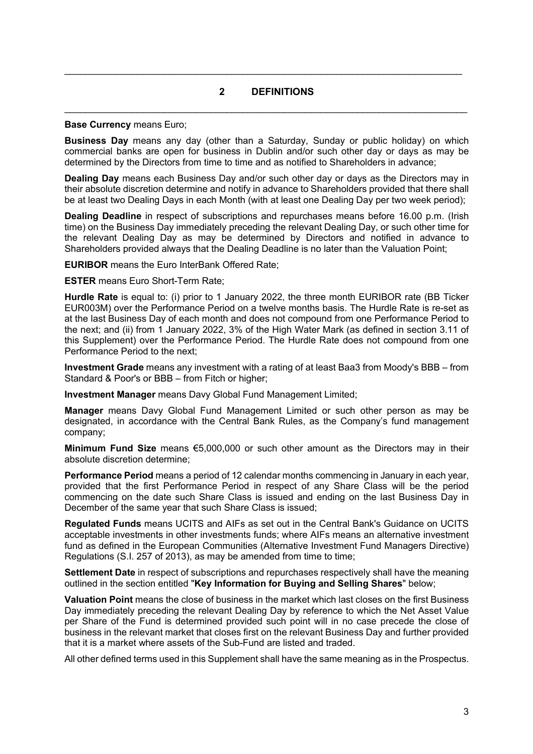# **2 DEFINITIONS**  \_\_\_\_\_\_\_\_\_\_\_\_\_\_\_\_\_\_\_\_\_\_\_\_\_\_\_\_\_\_\_\_\_\_\_\_\_\_\_\_\_\_\_\_\_\_\_\_\_\_\_\_\_\_\_\_\_\_\_\_\_\_\_\_\_\_\_\_\_\_\_\_\_\_\_\_\_

 $\mathcal{L}_\mathcal{L} = \mathcal{L}_\mathcal{L} = \mathcal{L}_\mathcal{L} = \mathcal{L}_\mathcal{L} = \mathcal{L}_\mathcal{L} = \mathcal{L}_\mathcal{L} = \mathcal{L}_\mathcal{L} = \mathcal{L}_\mathcal{L} = \mathcal{L}_\mathcal{L} = \mathcal{L}_\mathcal{L} = \mathcal{L}_\mathcal{L} = \mathcal{L}_\mathcal{L} = \mathcal{L}_\mathcal{L} = \mathcal{L}_\mathcal{L} = \mathcal{L}_\mathcal{L} = \mathcal{L}_\mathcal{L} = \mathcal{L}_\mathcal{L}$ 

#### **Base Currency** means Euro;

**Business Day** means any day (other than a Saturday, Sunday or public holiday) on which commercial banks are open for business in Dublin and/or such other day or days as may be determined by the Directors from time to time and as notified to Shareholders in advance;

**Dealing Day** means each Business Day and/or such other day or days as the Directors may in their absolute discretion determine and notify in advance to Shareholders provided that there shall be at least two Dealing Days in each Month (with at least one Dealing Day per two week period);

**Dealing Deadline** in respect of subscriptions and repurchases means before 16.00 p.m. (Irish time) on the Business Day immediately preceding the relevant Dealing Day, or such other time for the relevant Dealing Day as may be determined by Directors and notified in advance to Shareholders provided always that the Dealing Deadline is no later than the Valuation Point;

**EURIBOR** means the Euro InterBank Offered Rate;

**ESTER** means Euro Short-Term Rate;

**Hurdle Rate** is equal to: (i) prior to 1 January 2022, the three month EURIBOR rate (BB Ticker EUR003M) over the Performance Period on a twelve months basis. The Hurdle Rate is re-set as at the last Business Day of each month and does not compound from one Performance Period to the next; and (ii) from 1 January 2022, 3% of the High Water Mark (as defined in section 3.11 of this Supplement) over the Performance Period. The Hurdle Rate does not compound from one Performance Period to the next;

**Investment Grade** means any investment with a rating of at least Baa3 from Moody's BBB – from Standard & Poor's or BBB – from Fitch or higher;

**Investment Manager** means Davy Global Fund Management Limited;

**Manager** means Davy Global Fund Management Limited or such other person as may be designated, in accordance with the Central Bank Rules, as the Company's fund management company;

**Minimum Fund Size** means €5,000,000 or such other amount as the Directors may in their absolute discretion determine;

**Performance Period** means a period of 12 calendar months commencing in January in each year, provided that the first Performance Period in respect of any Share Class will be the period commencing on the date such Share Class is issued and ending on the last Business Day in December of the same year that such Share Class is issued;

**Regulated Funds** means UCITS and AIFs as set out in the Central Bank's Guidance on UCITS acceptable investments in other investments funds; where AIFs means an alternative investment fund as defined in the European Communities (Alternative Investment Fund Managers Directive) Regulations (S.I. 257 of 2013), as may be amended from time to time;

**Settlement Date** in respect of subscriptions and repurchases respectively shall have the meaning outlined in the section entitled "**Key Information for Buying and Selling Shares**" below;

**Valuation Point** means the close of business in the market which last closes on the first Business Day immediately preceding the relevant Dealing Day by reference to which the Net Asset Value per Share of the Fund is determined provided such point will in no case precede the close of business in the relevant market that closes first on the relevant Business Day and further provided that it is a market where assets of the Sub-Fund are listed and traded.

All other defined terms used in this Supplement shall have the same meaning as in the Prospectus.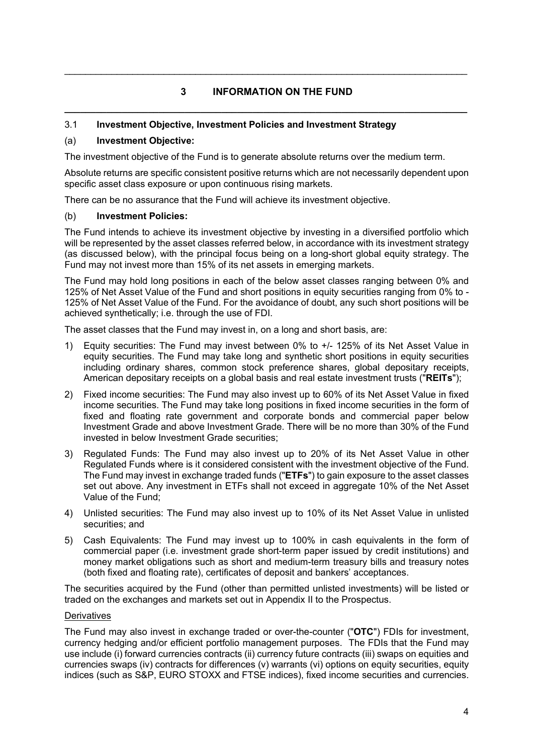# **3 INFORMATION ON THE FUND \_\_\_\_\_\_\_\_\_\_\_\_\_\_\_\_\_\_\_\_\_\_\_\_\_\_\_\_\_\_\_\_\_\_\_\_\_\_\_\_\_\_\_\_\_\_\_\_\_\_\_\_\_\_\_\_\_\_\_\_\_\_\_\_\_\_\_\_\_\_\_\_\_\_\_\_\_**

\_\_\_\_\_\_\_\_\_\_\_\_\_\_\_\_\_\_\_\_\_\_\_\_\_\_\_\_\_\_\_\_\_\_\_\_\_\_\_\_\_\_\_\_\_\_\_\_\_\_\_\_\_\_\_\_\_\_\_\_\_\_\_\_\_\_\_\_\_\_\_\_\_\_\_\_\_

### 3.1 **Investment Objective, Investment Policies and Investment Strategy**

#### (a) **Investment Objective:**

The investment objective of the Fund is to generate absolute returns over the medium term.

Absolute returns are specific consistent positive returns which are not necessarily dependent upon specific asset class exposure or upon continuous rising markets.

There can be no assurance that the Fund will achieve its investment objective.

#### (b) **Investment Policies:**

The Fund intends to achieve its investment objective by investing in a diversified portfolio which will be represented by the asset classes referred below, in accordance with its investment strategy (as discussed below), with the principal focus being on a long-short global equity strategy. The Fund may not invest more than 15% of its net assets in emerging markets.

The Fund may hold long positions in each of the below asset classes ranging between 0% and 125% of Net Asset Value of the Fund and short positions in equity securities ranging from 0% to - 125% of Net Asset Value of the Fund. For the avoidance of doubt, any such short positions will be achieved synthetically; i.e. through the use of FDI.

The asset classes that the Fund may invest in, on a long and short basis, are:

- 1) Equity securities: The Fund may invest between 0% to +/- 125% of its Net Asset Value in equity securities. The Fund may take long and synthetic short positions in equity securities including ordinary shares, common stock preference shares, global depositary receipts, American depositary receipts on a global basis and real estate investment trusts ("**REITs**");
- 2) Fixed income securities: The Fund may also invest up to 60% of its Net Asset Value in fixed income securities. The Fund may take long positions in fixed income securities in the form of fixed and floating rate government and corporate bonds and commercial paper below Investment Grade and above Investment Grade. There will be no more than 30% of the Fund invested in below Investment Grade securities;
- 3) Regulated Funds: The Fund may also invest up to 20% of its Net Asset Value in other Regulated Funds where is it considered consistent with the investment objective of the Fund. The Fund may invest in exchange traded funds ("**ETFs**") to gain exposure to the asset classes set out above. Any investment in ETFs shall not exceed in aggregate 10% of the Net Asset Value of the Fund;
- 4) Unlisted securities: The Fund may also invest up to 10% of its Net Asset Value in unlisted securities; and
- 5) Cash Equivalents: The Fund may invest up to 100% in cash equivalents in the form of commercial paper (i.e. investment grade short-term paper issued by credit institutions) and money market obligations such as short and medium-term treasury bills and treasury notes (both fixed and floating rate), certificates of deposit and bankers' acceptances.

The securities acquired by the Fund (other than permitted unlisted investments) will be listed or traded on the exchanges and markets set out in Appendix II to the Prospectus.

#### **Derivatives**

The Fund may also invest in exchange traded or over-the-counter ("**OTC**") FDIs for investment, currency hedging and/or efficient portfolio management purposes. The FDIs that the Fund may use include (i) forward currencies contracts (ii) currency future contracts (iii) swaps on equities and currencies swaps (iv) contracts for differences (v) warrants (vi) options on equity securities, equity indices (such as S&P, EURO STOXX and FTSE indices), fixed income securities and currencies.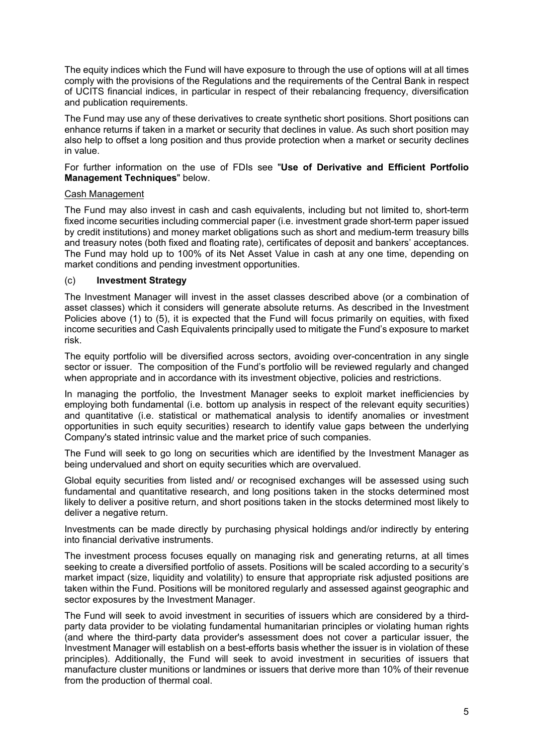The equity indices which the Fund will have exposure to through the use of options will at all times comply with the provisions of the Regulations and the requirements of the Central Bank in respect of UCITS financial indices, in particular in respect of their rebalancing frequency, diversification and publication requirements.

The Fund may use any of these derivatives to create synthetic short positions. Short positions can enhance returns if taken in a market or security that declines in value. As such short position may also help to offset a long position and thus provide protection when a market or security declines in value.

#### For further information on the use of FDIs see "**Use of Derivative and Efficient Portfolio Management Techniques**" below.

## Cash Management

The Fund may also invest in cash and cash equivalents, including but not limited to, short-term fixed income securities including commercial paper (i.e. investment grade short-term paper issued by credit institutions) and money market obligations such as short and medium-term treasury bills and treasury notes (both fixed and floating rate), certificates of deposit and bankers' acceptances. The Fund may hold up to 100% of its Net Asset Value in cash at any one time, depending on market conditions and pending investment opportunities.

### (c) **Investment Strategy**

The Investment Manager will invest in the asset classes described above (or a combination of asset classes) which it considers will generate absolute returns. As described in the Investment Policies above (1) to (5), it is expected that the Fund will focus primarily on equities, with fixed income securities and Cash Equivalents principally used to mitigate the Fund's exposure to market risk.

The equity portfolio will be diversified across sectors, avoiding over-concentration in any single sector or issuer. The composition of the Fund's portfolio will be reviewed regularly and changed when appropriate and in accordance with its investment objective, policies and restrictions.

In managing the portfolio, the Investment Manager seeks to exploit market inefficiencies by employing both fundamental (i.e. bottom up analysis in respect of the relevant equity securities) and quantitative (i.e. statistical or mathematical analysis to identify anomalies or investment opportunities in such equity securities) research to identify value gaps between the underlying Company's stated intrinsic value and the market price of such companies.

The Fund will seek to go long on securities which are identified by the Investment Manager as being undervalued and short on equity securities which are overvalued.

Global equity securities from listed and/ or recognised exchanges will be assessed using such fundamental and quantitative research, and long positions taken in the stocks determined most likely to deliver a positive return, and short positions taken in the stocks determined most likely to deliver a negative return.

Investments can be made directly by purchasing physical holdings and/or indirectly by entering into financial derivative instruments.

The investment process focuses equally on managing risk and generating returns, at all times seeking to create a diversified portfolio of assets. Positions will be scaled according to a security's market impact (size, liquidity and volatility) to ensure that appropriate risk adjusted positions are taken within the Fund. Positions will be monitored regularly and assessed against geographic and sector exposures by the Investment Manager.

The Fund will seek to avoid investment in securities of issuers which are considered by a thirdparty data provider to be violating fundamental humanitarian principles or violating human rights (and where the third-party data provider's assessment does not cover a particular issuer, the Investment Manager will establish on a best-efforts basis whether the issuer is in violation of these principles). Additionally, the Fund will seek to avoid investment in securities of issuers that manufacture cluster munitions or landmines or issuers that derive more than 10% of their revenue from the production of thermal coal.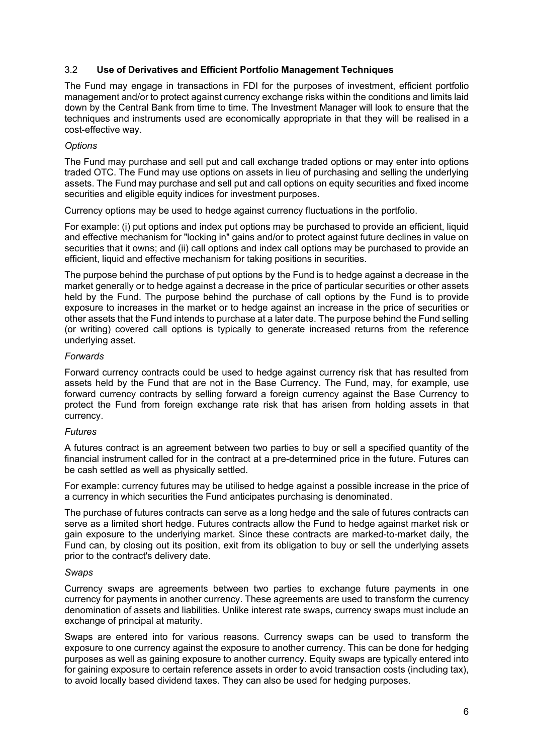# 3.2 **Use of Derivatives and Efficient Portfolio Management Techniques**

The Fund may engage in transactions in FDI for the purposes of investment, efficient portfolio management and/or to protect against currency exchange risks within the conditions and limits laid down by the Central Bank from time to time. The Investment Manager will look to ensure that the techniques and instruments used are economically appropriate in that they will be realised in a cost-effective way.

## *Options*

The Fund may purchase and sell put and call exchange traded options or may enter into options traded OTC. The Fund may use options on assets in lieu of purchasing and selling the underlying assets. The Fund may purchase and sell put and call options on equity securities and fixed income securities and eligible equity indices for investment purposes.

Currency options may be used to hedge against currency fluctuations in the portfolio.

For example: (i) put options and index put options may be purchased to provide an efficient, liquid and effective mechanism for "locking in" gains and/or to protect against future declines in value on securities that it owns; and (ii) call options and index call options may be purchased to provide an efficient, liquid and effective mechanism for taking positions in securities.

The purpose behind the purchase of put options by the Fund is to hedge against a decrease in the market generally or to hedge against a decrease in the price of particular securities or other assets held by the Fund. The purpose behind the purchase of call options by the Fund is to provide exposure to increases in the market or to hedge against an increase in the price of securities or other assets that the Fund intends to purchase at a later date. The purpose behind the Fund selling (or writing) covered call options is typically to generate increased returns from the reference underlying asset.

### *Forwards*

Forward currency contracts could be used to hedge against currency risk that has resulted from assets held by the Fund that are not in the Base Currency. The Fund, may, for example, use forward currency contracts by selling forward a foreign currency against the Base Currency to protect the Fund from foreign exchange rate risk that has arisen from holding assets in that currency.

# *Futures*

A futures contract is an agreement between two parties to buy or sell a specified quantity of the financial instrument called for in the contract at a pre-determined price in the future. Futures can be cash settled as well as physically settled.

For example: currency futures may be utilised to hedge against a possible increase in the price of a currency in which securities the Fund anticipates purchasing is denominated.

The purchase of futures contracts can serve as a long hedge and the sale of futures contracts can serve as a limited short hedge. Futures contracts allow the Fund to hedge against market risk or gain exposure to the underlying market. Since these contracts are marked-to-market daily, the Fund can, by closing out its position, exit from its obligation to buy or sell the underlying assets prior to the contract's delivery date.

#### *Swaps*

Currency swaps are agreements between two parties to exchange future payments in one currency for payments in another currency. These agreements are used to transform the currency denomination of assets and liabilities. Unlike interest rate swaps, currency swaps must include an exchange of principal at maturity.

Swaps are entered into for various reasons. Currency swaps can be used to transform the exposure to one currency against the exposure to another currency. This can be done for hedging purposes as well as gaining exposure to another currency. Equity swaps are typically entered into for gaining exposure to certain reference assets in order to avoid transaction costs (including tax), to avoid locally based dividend taxes. They can also be used for hedging purposes.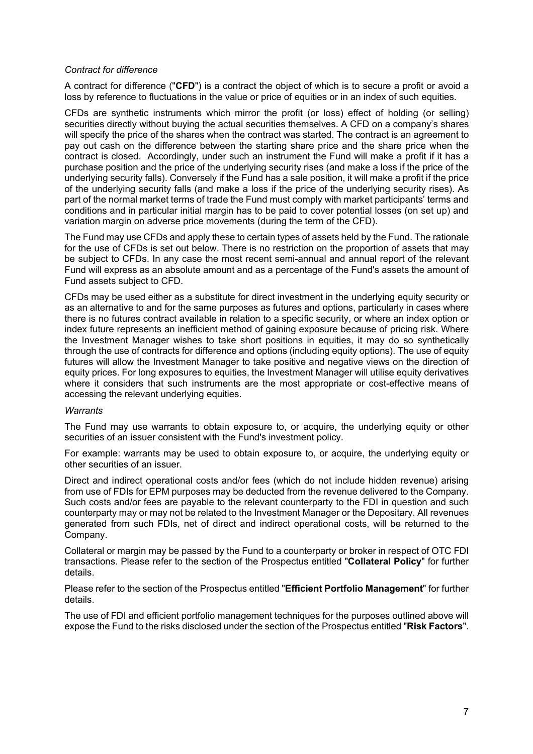#### *Contract for difference*

A contract for difference ("**CFD**") is a contract the object of which is to secure a profit or avoid a loss by reference to fluctuations in the value or price of equities or in an index of such equities.

CFDs are synthetic instruments which mirror the profit (or loss) effect of holding (or selling) securities directly without buying the actual securities themselves. A CFD on a company's shares will specify the price of the shares when the contract was started. The contract is an agreement to pay out cash on the difference between the starting share price and the share price when the contract is closed. Accordingly, under such an instrument the Fund will make a profit if it has a purchase position and the price of the underlying security rises (and make a loss if the price of the underlying security falls). Conversely if the Fund has a sale position, it will make a profit if the price of the underlying security falls (and make a loss if the price of the underlying security rises). As part of the normal market terms of trade the Fund must comply with market participants' terms and conditions and in particular initial margin has to be paid to cover potential losses (on set up) and variation margin on adverse price movements (during the term of the CFD).

The Fund may use CFDs and apply these to certain types of assets held by the Fund. The rationale for the use of CFDs is set out below. There is no restriction on the proportion of assets that may be subject to CFDs. In any case the most recent semi-annual and annual report of the relevant Fund will express as an absolute amount and as a percentage of the Fund's assets the amount of Fund assets subject to CFD.

CFDs may be used either as a substitute for direct investment in the underlying equity security or as an alternative to and for the same purposes as futures and options, particularly in cases where there is no futures contract available in relation to a specific security, or where an index option or index future represents an inefficient method of gaining exposure because of pricing risk. Where the Investment Manager wishes to take short positions in equities, it may do so synthetically through the use of contracts for difference and options (including equity options). The use of equity futures will allow the Investment Manager to take positive and negative views on the direction of equity prices. For long exposures to equities, the Investment Manager will utilise equity derivatives where it considers that such instruments are the most appropriate or cost-effective means of accessing the relevant underlying equities.

#### *Warrants*

The Fund may use warrants to obtain exposure to, or acquire, the underlying equity or other securities of an issuer consistent with the Fund's investment policy.

For example: warrants may be used to obtain exposure to, or acquire, the underlying equity or other securities of an issuer.

Direct and indirect operational costs and/or fees (which do not include hidden revenue) arising from use of FDIs for EPM purposes may be deducted from the revenue delivered to the Company. Such costs and/or fees are payable to the relevant counterparty to the FDI in question and such counterparty may or may not be related to the Investment Manager or the Depositary. All revenues generated from such FDIs, net of direct and indirect operational costs, will be returned to the Company.

Collateral or margin may be passed by the Fund to a counterparty or broker in respect of OTC FDI transactions. Please refer to the section of the Prospectus entitled "**Collateral Policy**" for further details.

Please refer to the section of the Prospectus entitled "**Efficient Portfolio Management**" for further details.

The use of FDI and efficient portfolio management techniques for the purposes outlined above will expose the Fund to the risks disclosed under the section of the Prospectus entitled "**Risk Factors**".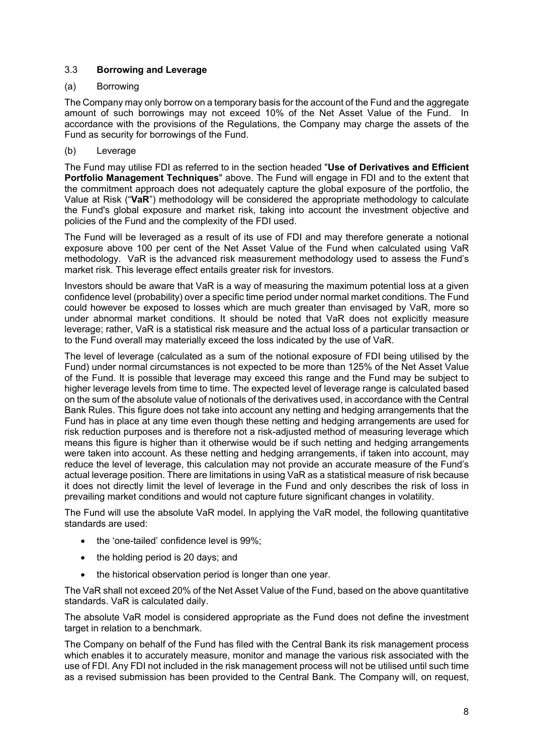# 3.3 **Borrowing and Leverage**

#### (a) Borrowing

The Company may only borrow on a temporary basis for the account of the Fund and the aggregate amount of such borrowings may not exceed 10% of the Net Asset Value of the Fund. In accordance with the provisions of the Regulations, the Company may charge the assets of the Fund as security for borrowings of the Fund.

## (b) Leverage

The Fund may utilise FDI as referred to in the section headed "**Use of Derivatives and Efficient Portfolio Management Techniques**" above. The Fund will engage in FDI and to the extent that the commitment approach does not adequately capture the global exposure of the portfolio, the Value at Risk ("**VaR**") methodology will be considered the appropriate methodology to calculate the Fund's global exposure and market risk, taking into account the investment objective and policies of the Fund and the complexity of the FDI used.

The Fund will be leveraged as a result of its use of FDI and may therefore generate a notional exposure above 100 per cent of the Net Asset Value of the Fund when calculated using VaR methodology. VaR is the advanced risk measurement methodology used to assess the Fund's market risk. This leverage effect entails greater risk for investors.

Investors should be aware that VaR is a way of measuring the maximum potential loss at a given confidence level (probability) over a specific time period under normal market conditions. The Fund could however be exposed to losses which are much greater than envisaged by VaR, more so under abnormal market conditions. It should be noted that VaR does not explicitly measure leverage; rather, VaR is a statistical risk measure and the actual loss of a particular transaction or to the Fund overall may materially exceed the loss indicated by the use of VaR.

The level of leverage (calculated as a sum of the notional exposure of FDI being utilised by the Fund) under normal circumstances is not expected to be more than 125% of the Net Asset Value of the Fund. It is possible that leverage may exceed this range and the Fund may be subject to higher leverage levels from time to time. The expected level of leverage range is calculated based on the sum of the absolute value of notionals of the derivatives used, in accordance with the Central Bank Rules. This figure does not take into account any netting and hedging arrangements that the Fund has in place at any time even though these netting and hedging arrangements are used for risk reduction purposes and is therefore not a risk-adjusted method of measuring leverage which means this figure is higher than it otherwise would be if such netting and hedging arrangements were taken into account. As these netting and hedging arrangements, if taken into account, may reduce the level of leverage, this calculation may not provide an accurate measure of the Fund's actual leverage position. There are limitations in using VaR as a statistical measure of risk because it does not directly limit the level of leverage in the Fund and only describes the risk of loss in prevailing market conditions and would not capture future significant changes in volatility.

The Fund will use the absolute VaR model. In applying the VaR model, the following quantitative standards are used:

- the 'one-tailed' confidence level is 99%;
- the holding period is 20 days; and
- the historical observation period is longer than one year.

The VaR shall not exceed 20% of the Net Asset Value of the Fund, based on the above quantitative standards. VaR is calculated daily.

The absolute VaR model is considered appropriate as the Fund does not define the investment target in relation to a benchmark.

The Company on behalf of the Fund has filed with the Central Bank its risk management process which enables it to accurately measure, monitor and manage the various risk associated with the use of FDI. Any FDI not included in the risk management process will not be utilised until such time as a revised submission has been provided to the Central Bank. The Company will, on request,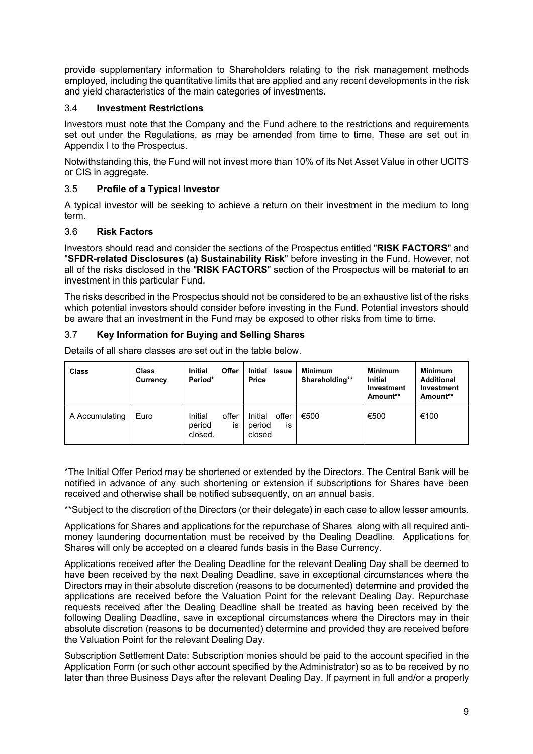provide supplementary information to Shareholders relating to the risk management methods employed, including the quantitative limits that are applied and any recent developments in the risk and yield characteristics of the main categories of investments.

# 3.4 **Investment Restrictions**

Investors must note that the Company and the Fund adhere to the restrictions and requirements set out under the Regulations, as may be amended from time to time. These are set out in Appendix I to the Prospectus.

Notwithstanding this, the Fund will not invest more than 10% of its Net Asset Value in other UCITS or CIS in aggregate.

# 3.5 **Profile of a Typical Investor**

A typical investor will be seeking to achieve a return on their investment in the medium to long term.

# 3.6 **Risk Factors**

Investors should read and consider the sections of the Prospectus entitled "**RISK FACTORS**" and "**SFDR-related Disclosures (a) Sustainability Risk**" before investing in the Fund. However, not all of the risks disclosed in the "**RISK FACTORS**" section of the Prospectus will be material to an investment in this particular Fund.

The risks described in the Prospectus should not be considered to be an exhaustive list of the risks which potential investors should consider before investing in the Fund. Potential investors should be aware that an investment in the Fund may be exposed to other risks from time to time.

# 3.7 **Key Information for Buying and Selling Shares**

Details of all share classes are set out in the table below.

| <b>Class</b>   | <b>Class</b><br>Currency | <b>Initial</b><br>Period*    | Offer       | Initial<br><b>Issue</b><br><b>Price</b>    | <b>Minimum</b><br>Shareholding** | <b>Minimum</b><br><b>Initial</b><br>Investment<br>Amount** | <b>Minimum</b><br><b>Additional</b><br>Investment<br>Amount** |
|----------------|--------------------------|------------------------------|-------------|--------------------------------------------|----------------------------------|------------------------------------------------------------|---------------------------------------------------------------|
| A Accumulating | Euro                     | Initial<br>period<br>closed. | offer<br>IS | Initial<br>offer<br>period<br>İS<br>closed | €500                             | €500                                                       | €100                                                          |

\*The Initial Offer Period may be shortened or extended by the Directors. The Central Bank will be notified in advance of any such shortening or extension if subscriptions for Shares have been received and otherwise shall be notified subsequently, on an annual basis.

\*\*Subject to the discretion of the Directors (or their delegate) in each case to allow lesser amounts.

Applications for Shares and applications for the repurchase of Shares along with all required antimoney laundering documentation must be received by the Dealing Deadline. Applications for Shares will only be accepted on a cleared funds basis in the Base Currency.

Applications received after the Dealing Deadline for the relevant Dealing Day shall be deemed to have been received by the next Dealing Deadline, save in exceptional circumstances where the Directors may in their absolute discretion (reasons to be documented) determine and provided the applications are received before the Valuation Point for the relevant Dealing Day. Repurchase requests received after the Dealing Deadline shall be treated as having been received by the following Dealing Deadline, save in exceptional circumstances where the Directors may in their absolute discretion (reasons to be documented) determine and provided they are received before the Valuation Point for the relevant Dealing Day.

Subscription Settlement Date: Subscription monies should be paid to the account specified in the Application Form (or such other account specified by the Administrator) so as to be received by no later than three Business Days after the relevant Dealing Day. If payment in full and/or a properly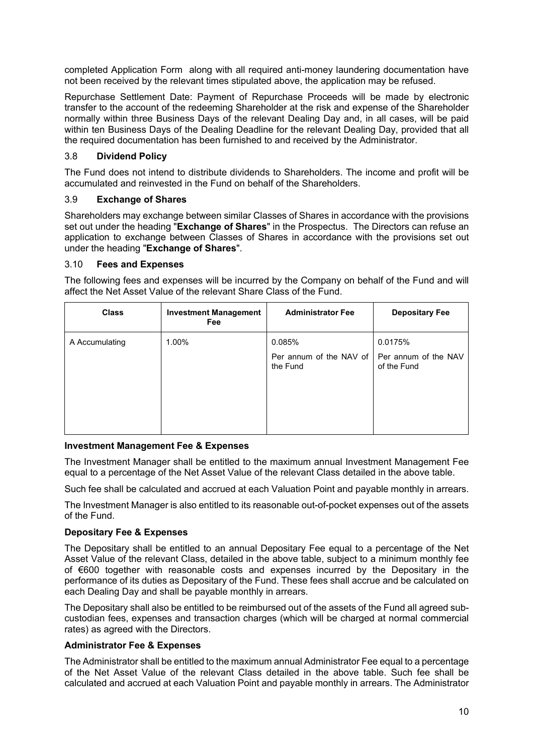completed Application Form along with all required anti-money laundering documentation have not been received by the relevant times stipulated above, the application may be refused.

Repurchase Settlement Date: Payment of Repurchase Proceeds will be made by electronic transfer to the account of the redeeming Shareholder at the risk and expense of the Shareholder normally within three Business Days of the relevant Dealing Day and, in all cases, will be paid within ten Business Days of the Dealing Deadline for the relevant Dealing Day, provided that all the required documentation has been furnished to and received by the Administrator.

# 3.8 **Dividend Policy**

The Fund does not intend to distribute dividends to Shareholders. The income and profit will be accumulated and reinvested in the Fund on behalf of the Shareholders.

### 3.9 **Exchange of Shares**

Shareholders may exchange between similar Classes of Shares in accordance with the provisions set out under the heading "**Exchange of Shares**" in the Prospectus. The Directors can refuse an application to exchange between Classes of Shares in accordance with the provisions set out under the heading "**Exchange of Shares**".

#### 3.10 **Fees and Expenses**

The following fees and expenses will be incurred by the Company on behalf of the Fund and will affect the Net Asset Value of the relevant Share Class of the Fund.

| <b>Class</b>   | <b>Investment Management</b><br><b>Fee</b> | <b>Administrator Fee</b>            | <b>Depositary Fee</b>               |
|----------------|--------------------------------------------|-------------------------------------|-------------------------------------|
| A Accumulating | 1.00%                                      | 0.085%                              | 0.0175%                             |
|                |                                            | Per annum of the NAV of<br>the Fund | Per annum of the NAV<br>of the Fund |

#### **Investment Management Fee & Expenses**

The Investment Manager shall be entitled to the maximum annual Investment Management Fee equal to a percentage of the Net Asset Value of the relevant Class detailed in the above table.

Such fee shall be calculated and accrued at each Valuation Point and payable monthly in arrears.

The Investment Manager is also entitled to its reasonable out-of-pocket expenses out of the assets of the Fund.

#### **Depositary Fee & Expenses**

The Depositary shall be entitled to an annual Depositary Fee equal to a percentage of the Net Asset Value of the relevant Class, detailed in the above table, subject to a minimum monthly fee of €600 together with reasonable costs and expenses incurred by the Depositary in the performance of its duties as Depositary of the Fund. These fees shall accrue and be calculated on each Dealing Day and shall be payable monthly in arrears.

The Depositary shall also be entitled to be reimbursed out of the assets of the Fund all agreed subcustodian fees, expenses and transaction charges (which will be charged at normal commercial rates) as agreed with the Directors.

#### **Administrator Fee & Expenses**

The Administrator shall be entitled to the maximum annual Administrator Fee equal to a percentage of the Net Asset Value of the relevant Class detailed in the above table. Such fee shall be calculated and accrued at each Valuation Point and payable monthly in arrears. The Administrator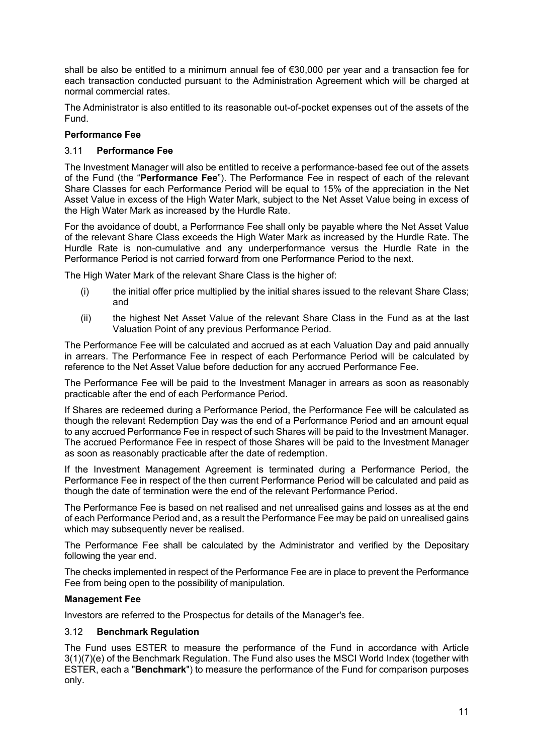shall be also be entitled to a minimum annual fee of €30,000 per year and a transaction fee for each transaction conducted pursuant to the Administration Agreement which will be charged at normal commercial rates.

The Administrator is also entitled to its reasonable out-of-pocket expenses out of the assets of the Fund.

# **Performance Fee**

### 3.11 **Performance Fee**

The Investment Manager will also be entitled to receive a performance-based fee out of the assets of the Fund (the "**Performance Fee**"). The Performance Fee in respect of each of the relevant Share Classes for each Performance Period will be equal to 15% of the appreciation in the Net Asset Value in excess of the High Water Mark, subject to the Net Asset Value being in excess of the High Water Mark as increased by the Hurdle Rate.

For the avoidance of doubt, a Performance Fee shall only be payable where the Net Asset Value of the relevant Share Class exceeds the High Water Mark as increased by the Hurdle Rate. The Hurdle Rate is non-cumulative and any underperformance versus the Hurdle Rate in the Performance Period is not carried forward from one Performance Period to the next.

The High Water Mark of the relevant Share Class is the higher of:

- (i) the initial offer price multiplied by the initial shares issued to the relevant Share Class; and
- (ii) the highest Net Asset Value of the relevant Share Class in the Fund as at the last Valuation Point of any previous Performance Period.

The Performance Fee will be calculated and accrued as at each Valuation Day and paid annually in arrears. The Performance Fee in respect of each Performance Period will be calculated by reference to the Net Asset Value before deduction for any accrued Performance Fee.

The Performance Fee will be paid to the Investment Manager in arrears as soon as reasonably practicable after the end of each Performance Period.

If Shares are redeemed during a Performance Period, the Performance Fee will be calculated as though the relevant Redemption Day was the end of a Performance Period and an amount equal to any accrued Performance Fee in respect of such Shares will be paid to the Investment Manager. The accrued Performance Fee in respect of those Shares will be paid to the Investment Manager as soon as reasonably practicable after the date of redemption.

If the Investment Management Agreement is terminated during a Performance Period, the Performance Fee in respect of the then current Performance Period will be calculated and paid as though the date of termination were the end of the relevant Performance Period.

The Performance Fee is based on net realised and net unrealised gains and losses as at the end of each Performance Period and, as a result the Performance Fee may be paid on unrealised gains which may subsequently never be realised.

The Performance Fee shall be calculated by the Administrator and verified by the Depositary following the year end.

The checks implemented in respect of the Performance Fee are in place to prevent the Performance Fee from being open to the possibility of manipulation.

# **Management Fee**

Investors are referred to the Prospectus for details of the Manager's fee.

# 3.12 **Benchmark Regulation**

The Fund uses ESTER to measure the performance of the Fund in accordance with Article 3(1)(7)(e) of the Benchmark Regulation. The Fund also uses the MSCI World Index (together with ESTER, each a "**Benchmark**") to measure the performance of the Fund for comparison purposes only.